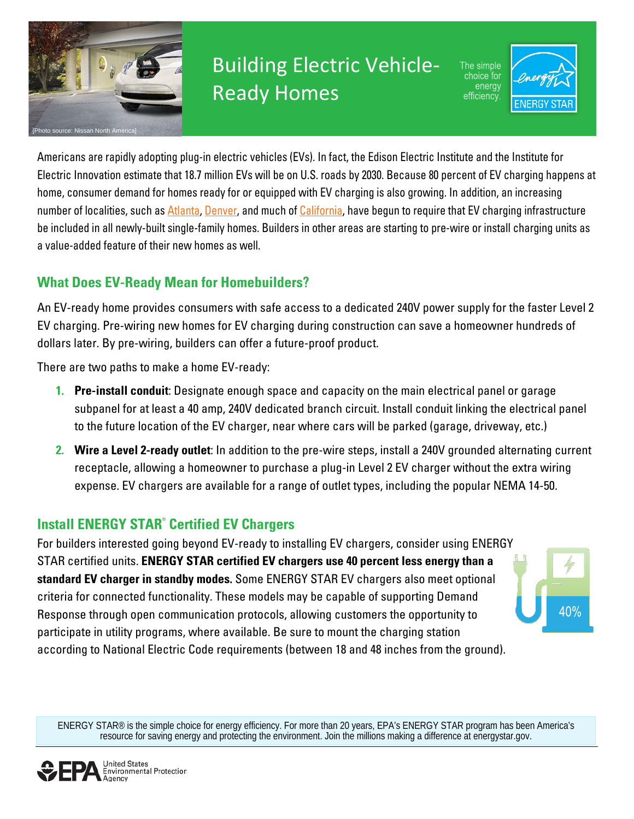

# Building Electric Vehicle-Ready Homes

The simple choice for energy efficiency



Americans are rapidly adopting plug-in electric vehicles (EVs). In fact, the Edison Electric Institute and the Institute for Electric Innovation estimate that 18.7 million EVs will be on U.S. roads by 2030. Because 80 percent of EV charging happens at home, consumer demand for homes ready for or equipped with EV charging is also growing. In addition, an increasing number of localities, such as [Atlanta,](https://click.mail.energystar.gov/?qs=6fde7cb2464f19589b9ca509f69a7d8585610db0c9cf89bcf172b56a88297fc4c58bc4056fe47ab29e0ef965452aef0efc94f0253e01ac97) [Denver,](https://click.mail.energystar.gov/?qs=6fde7cb2464f19582d6bb9c7a2b02fa0f83a60f4d4234a6507143b7353f5ecd64d762e49a1053b914183a73dceac853136214bbb92c4bc16) and much o[f California,](https://click.mail.energystar.gov/?qs=6fde7cb2464f195883c7496ae6e39e5cb33b229b2841dbad2b250b61be12418e28c35928a09c2695c109a243948665d3521766b512ab32e7) have begun to require that EV charging infrastructure be included in all newly-built single-family homes. Builders in other areas are starting to pre-wire or install charging units as a value-added feature of their new homes as well.

### **What Does EV-Ready Mean for Homebuilders?**

An EV-ready home provides consumers with safe access to a dedicated 240V power supply for the faster Level 2 EV charging. Pre-wiring new homes for EV charging during construction can save a homeowner hundreds of dollars later. By pre-wiring, builders can offer a future-proof product.

There are two paths to make a home EV-ready:

- **1. Pre-install conduit**: Designate enough space and capacity on the main electrical panel or garage subpanel for at least a 40 amp, 240V dedicated branch circuit. Install conduit linking the electrical panel to the future location of the EV charger, near where cars will be parked (garage, driveway, etc.)
- **2. Wire a Level 2-ready outlet**: In addition to the pre-wire steps, install a 240V grounded alternating current receptacle, allowing a homeowner to purchase a plug-in Level 2 EV charger without the extra wiring expense. EV chargers are available for a range of outlet types, including the popular NEMA 14-50.

### **Install ENERGY STAR® Certified EV Chargers**

For builders interested going beyond EV-ready to installing EV chargers, consider using ENERGY STAR certified units. **ENERGY STAR certified EV chargers use 40 percent less energy than a standard EV charger in standby modes.** Some ENERGY STAR EV chargers also meet optional criteria for connected functionality. These models may be capable of supporting Demand Response through open communication protocols, allowing customers the opportunity to participate in utility programs, where available. Be sure to mount the charging station according to National Electric Code requirements (between 18 and 48 inches from the ground).



ENERGY STAR® is the simple choice for energy efficiency. For more than 20 years, EPA's ENERGY STAR program has been America's resource for saving energy and protecting the environment. Join the millions making a difference at [energystar.gov.](http://energystar.gov/)